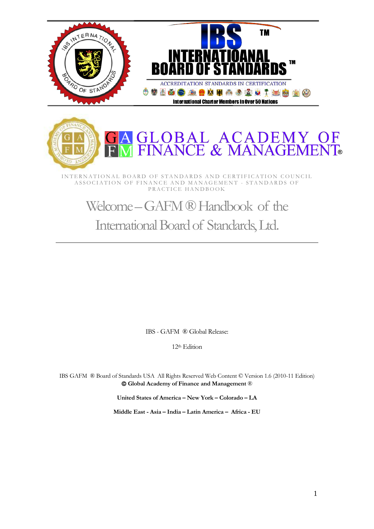



INTERNATIONAL BOARD OF STANDARDS AND CERTIFICATION COUNCIL ASSOCIATION OF FINANCE AND MANAGEMENT - STANDARDS OF PRACTICE HANDBOOK

# Welcome – GAFM ® Handbook of the International Board of Standards, Ltd.

IBS - GAFM ® Global Release:

12th Edition

IBS GAFM ® Board of Standards USA All Rights Reserved Web Content © Version 1.6 (2010-11 Edition) **Global Academy of Finance and Management** ®

**United States of America – New York – Colorado – LA**

**Middle East - Asia – India – Latin America – Africa - EU**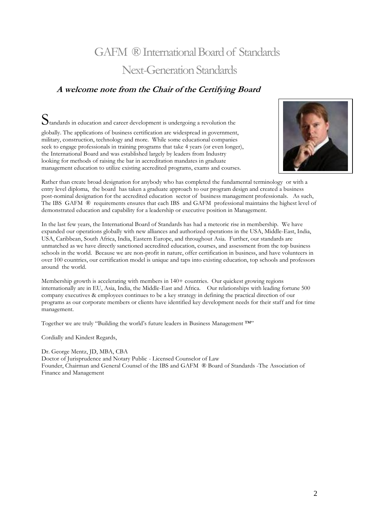# <span id="page-1-0"></span>GAFM ® International Board of Standards Next-Generation Standards

### <span id="page-1-2"></span><span id="page-1-1"></span>**A welcome note from the Chair of the Certifying Board**

 $S_{\text{tandards}}$  in education and career development is undergoing a revolution the

globally. The applications of business certification are widespread in government, military, construction, technology and more. While some educational companies seek to engage professionals in training programs that take 4 years (or even longer), the International Board and was established largely by leaders from Industry looking for methods of raising the bar in accreditation mandates in graduate management education to utilize existing accredited programs, exams and courses.



Rather than create broad designation for anybody who has completed the fundamental terminology or with a entry level diploma, the board has taken a graduate approach to our program design and created a business post-nominal designation for the accredited education sector of business management professionals. As such, The IBS GAFM ® requirements ensures that each IBS and GAFM professional maintains the highest level of demonstrated education and capability for a leadership or executive position in Management.

In the last few years, the International Board of Standards has had a meteoric rise in membership. We have expanded our operations globally with new alliances and authorized operations in the USA, Middle-East, India, USA, Caribbean, South Africa, India, Eastern Europe, and throughout Asia. Further, our standards are unmatched as we have directly sanctioned accredited education, courses, and assessment from the top business schools in the world. Because we are non-profit in nature, offer certification in business, and have volunteers in over 100 countries, our certification model is unique and taps into existing education, top schools and professors around the world.

Membership growth is accelerating with members in 140+ countries. Our quickest growing regions internationally are in EU, Asia, India, the Middle-East and Africa. Our relationships with leading fortune 500 company executives & employees continues to be a key strategy in defining the practical direction of our programs as our corporate members or clients have identified key development needs for their staff and for time management.

Together we are truly "Building the world's future leaders in Business Management ™"

Cordially and Kindest Regards,

Dr. George Mentz, JD, MBA, CBA Doctor of Jurisprudence and Notary Public - Licensed Counselor of Law Founder, Chairman and General Counsel of the IBS and GAFM ® Board of Standards -The Association of Finance and Management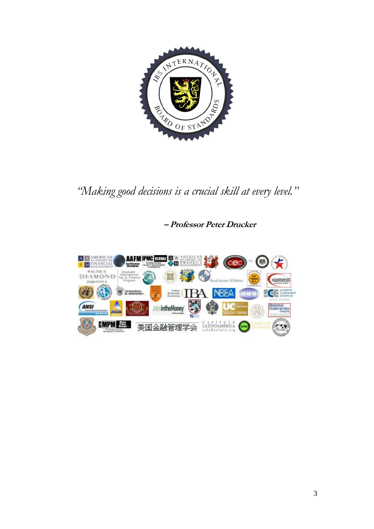

*"Making good decisions is a crucial skill at every level."*

**– Professor Peter Drucker**

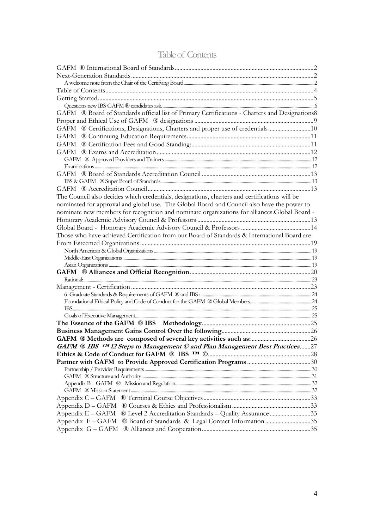<span id="page-3-0"></span>

| GAFM ® Board of Standards official list of Primary Certifications - Charters and Designations8 |  |
|------------------------------------------------------------------------------------------------|--|
|                                                                                                |  |
| GAFM ® Certifications, Designations, Charters and proper use of credentials10                  |  |
|                                                                                                |  |
|                                                                                                |  |
|                                                                                                |  |
|                                                                                                |  |
|                                                                                                |  |
|                                                                                                |  |
|                                                                                                |  |
|                                                                                                |  |
| The Council also decides which credentials, designations, charters and certifications will be  |  |
| nominated for approval and global use. The Global Board and Council also have the power to     |  |
| nominate new members for recognition and nominate organizations for alliances. Global Board -  |  |
|                                                                                                |  |
|                                                                                                |  |
| Those who have achieved Certification from our Board of Standards & International Board are    |  |
|                                                                                                |  |
|                                                                                                |  |
|                                                                                                |  |
|                                                                                                |  |
|                                                                                                |  |
|                                                                                                |  |
|                                                                                                |  |
|                                                                                                |  |
|                                                                                                |  |
|                                                                                                |  |
|                                                                                                |  |
|                                                                                                |  |
|                                                                                                |  |
| GAFM ® IBS TM 12 Steps to Management © and Plan Management Best Practices27                    |  |
|                                                                                                |  |
|                                                                                                |  |
|                                                                                                |  |
|                                                                                                |  |
|                                                                                                |  |
|                                                                                                |  |
|                                                                                                |  |
|                                                                                                |  |
| Appendix E - GAFM ® Level 2 Accreditation Standards - Quality Assurance 33                     |  |
| Appendix F - GAFM ® Board of Standards & Legal Contact Information 35                          |  |
|                                                                                                |  |

# Table of Contents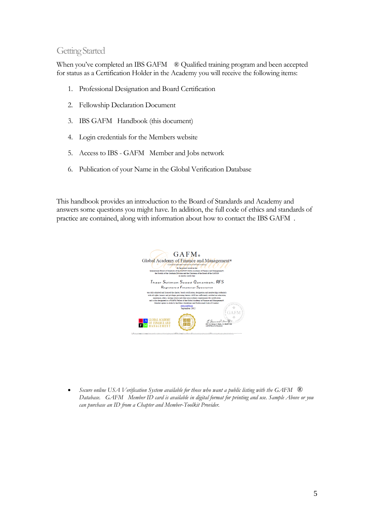### <span id="page-4-0"></span>Getting Started

When you've completed an IBS GAFM <sup>®</sup> Qualified training program and been accepted for status as a Certification Holder in the Academy you will receive the following items:

- 1. Professional Designation and Board Certification
- 2. Fellowship Declaration Document
- 3. IBS GAFM Handbook (this document)
- 4. Login credentials for the Members website
- 5. Access to IBS GAFM Member and Jobs network
- 6. Publication of your Name in the Global Verification Database

This handbook provides an introduction to the Board of Standards and Academy and answers some questions you might have. In addition, the full code of ethics and standards of practice are contained, along with information about how to contact the IBS GAFM .



 *Secure online USA Verification System available for those who want a public listing with the GAFM* ® *Database. GAFM Member ID card is available in digital format for printing and use. Sample Above or you can purchase an ID from a Chapter and Member-Toolkit Provider.*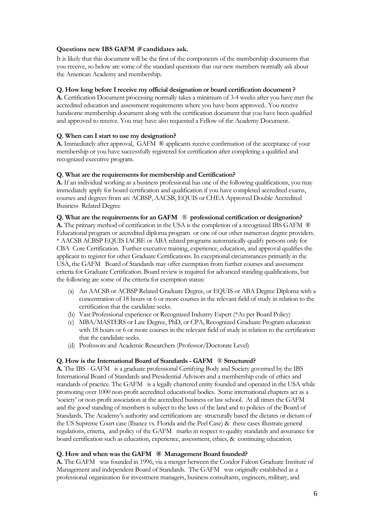### <span id="page-5-0"></span>**Questions new IBS GAFM ® candidates ask.**

It is likely that this document will be the first of the components of the membership documents that you receive, so below are some of the standard questions that our new members normally ask about the American Academy and membership.

### **Q. How long before I receive my official designation or board certification document ?**

**A.** Certification Document processing normally takes a minimum of 3-4 weeks after you have met the accredited education and assessment requirements where you have been approved.. You receive handsome membership document along with the certification document that you have been qualified and approved to receive. You may have also requested a Fellow of the Academy Document.

### **Q. When can I start to use my designation?**

**A.** Immediately after approval, GAFM ® applicants receive confirmation of the acceptance of your membership or you have successfully registered for certification after completing a qualified and recognized executive program.

### **Q. What are the requirements for membership and Certification?**

**A.** If an individual working as a business professional has one of the following qualifications, you may immediately apply for board certification and qualification if you have completed accredited exams, courses and degrees from an: ACBSP, AACSB, EQUIS or CHEA Approved Double Accredited Business Related Degree

#### **Q. What are the requirements for an GAFM** ® **professional certification or designation?**

**A.** The primary method of certification in the USA is the completion of a recognized IBS GAFM  $\circledR$ Educational program or accredited diploma program or one of our other numerous degree providers. \* AACSB ACBSP EQUIS IACBE or ABA related programs automatically qualify persons only for CBA Core Certification. Further executive training, experience, education, and approval qualifies the applicant to register for other Graduate Certifications. In exceptional circumstances primarily in the USA, the GAFM Board of Standards may offer exemption from further courses and assessment criteria for Graduate Certification. Board review is required for advanced standing qualifications, but the following are some of the criteria for exemption status:

- (a) An AACSB or ACBSP Related Graduate Degree, or EQUIS or ABA Degree Diploma with a concentration of 18 hours or 6 or more courses in the relevant field of study in relation to the certification that the candidate seeks.
- (b) Vast Professional experience or Recognized Industry Expert (\*As per Board Policy)
- (c) MBA/MASTERS or Law Degree, PhD, or CPA, Recognized Graduate Program education with 18 hours or 6 or more courses in the relevant field of study in relation to the certification that the candidate seeks.
- (d) Professors and Academic Researchers (Professor/Doctorate Level)

### **Q. How is the International Board of Standards - GAFM** ® **Structured?**

**A.** The IBS - GAFM is a graduate professional Certifying Body and Society governed by the IBS International Board of Standards and Presidential Advisors and a membership code of ethics and standards of practice. The GAFM is a legally chartered entity founded and operated in the USA while promoting over 1000 non-profit accredited educational bodies. Some international chapters act as a 'society' or non-profit association at the accredited business or law school. At all times the GAFM and the good standing of members is subject to the laws of the land and to policies of the Board of Standards. The Academy's authority and certifications are structurally based the dictates or dictum of the US Supreme Court case (Ibanez vs. Florida and the Peel Case) & these cases illustrate general regulations, criteria, and policy of the GAFM marks in respect to quality standards and assurance for board certification such as education, experience, assessment, ethics, & continuing education.

### **Q. How and when was the GAFM ® Management Board founded?**

**A.** The GAFM was founded in 1996, via a merger between the Condor Falcon Graduate Institute of Management and independent Board of Standards. The GAFM was originally established as a professional organization for investment managers, business consultants, engineers, military, and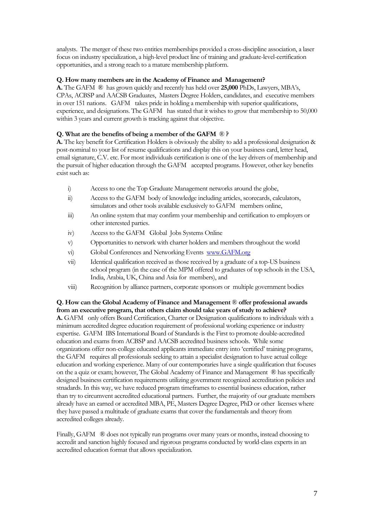analysts. The merger of these two entities memberships provided a cross-discipline association, a laser focus on industry specialization, a high-level product line of training and graduate-level-certification opportunities, and a strong reach to a mature membership platform.

### **Q. How many members are in the Academy of Finance and Management?**

**A.** The GAFM ® has grown quickly and recently has held over **25,000** PhDs, Lawyers, MBA's, CPAs, ACBSP and AACSB Graduates, Masters Degree Holders, candidates, and executive members in over 151 nations. GAFM takes pride in holding a membership with superior qualifications, experience, and designations. The GAFM has stated that it wishes to grow that membership to 50,000 within 3 years and current growth is tracking against that objective.

### **Q. What are the benefits of being a member of the GAFM** ® **?**

**A.** The key benefit for Certification Holders is obviously the ability to add a professional designation & post-nominal to your list of resume qualifications and display this on your business card, letter head, email signature, C.V. etc. For most individuals certification is one of the key drivers of membership and the pursuit of higher education through the GAFM accepted programs. However, other key benefits exist such as:

- i) Access to one the Top Graduate Management networks around the globe,
- ii) Access to the GAFM body of knowledge including articles, scorecards, calculators, simulators and other tools available exclusively to GAFM members online,
- iii) An online system that may confirm your membership and certification to employers or other interested parties.
- iv) Access to the GAFM Global Jobs Systems Online
- v) Opportunities to network with charter holders and members throughout the world
- vi) Global Conferences and Networking Events [www.GAFM.org](http://www.gafm.org/)
- vii) Identical qualification received as those received by a graduate of a top-US business school program (in the case of the MPM offered to graduates of top schools in the USA, India, Arabia, UK, China and Asia for members), and
- viii) Recognition by alliance partners, corporate sponsors or multiple government bodies

**Q. How can the Global Academy of Finance and Management** ® **offer professional awards from an executive program, that others claim should take years of study to achieve? A.** GAFM only offers Board Certification, Charter or Designation qualifications to individuals with a minimum accredited degree education requirement of professional working experience or industry expertise. GAFM IBS International Board of Standards is the First to promote double-accredited education and exams from ACBSP and AACSB accredited business schools. While some organizations offer non-college educated applicants immediate entry into 'certified' training programs, the GAFM requires all professionals seeking to attain a specialist designation to have actual college education and working experience. Many of our contemporaries have a single qualification that focuses on the a quiz or exam; however, The Global Academy of Finance and Management ® has specifically designed business certification requirements utilizing government recognized accreditation policies and stnadards. In this way, we have reduced program timeframes to essential business education, rather than try to circumvent accredited educational partners. Further, the majority of our graduate members already have an earned or accredited MBA, PE, Masters Degree Degree, PhD or other licenses where they have passed a multitude of graduate exams that cover the fundamentals and theory from accredited colleges already.

Finally, GAFM  $\circledR$  does not typically run programs over many years or months, instead choosing to accredit and sanction highly focused and rigorous programs conducted by world-class experts in an accredited education format that allows specialization.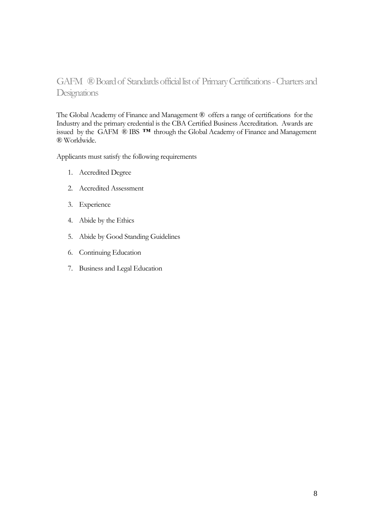# <span id="page-7-0"></span>GAFM ® Board of Standards official list of Primary Certifications -Charters and **Designations**

The Global Academy of Finance and Management ® offers a range of certifications for the Industry and the primary credential is the CBA Certified Business Accreditation. Awards are issued by the GAFM ® IBS **™** through the Global Academy of Finance and Management ® Worldwide.

Applicants must satisfy the following requirements

- 1. Accredited Degree
- 2. Accredited Assessment
- 3. Experience
- 4. Abide by the Ethics
- 5. Abide by Good Standing Guidelines
- 6. Continuing Education
- 7. Business and Legal Education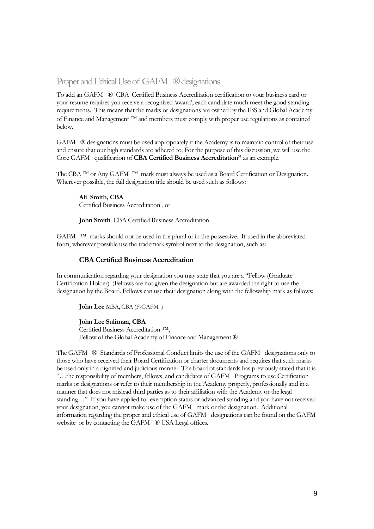### <span id="page-8-0"></span>Proper and Ethical Use of GAFM ® designations

To add an GAFM ® CBA Certified Business Accreditation certification to your business card or your resume requires you receive a recognized 'award', each candidate much meet the good standing requirements. This means that the marks or designations are owned by the IBS and Global Academy of Finance and Management  $TM$  and members must comply with proper use regulations as contained below.

GAFM ® designations must be used appropriately if the Academy is to maintain control of their use and ensure that our high standards are adhered to. For the purpose of this discussion, we will use the Core GAFM qualification of **CBA Certified Business Accreditation"** as an example.

The CBA <sup>TM</sup> or Any GAFM <sup>TM</sup> mark must always be used as a Board Certification or Designation. Wherever possible, the full designation title should be used such as follows:

**Ali Smith, CBA** Certified Business Accreditation , or

**John Smith** CBA Certified Business Accreditation

GAFM <sup>TM</sup> marks should not be used in the plural or in the possessive. If used in the abbreviated form, wherever possible use the trademark symbol next to the designation, such as:

#### **CBA Certified Business Accreditation**

In communication regarding your designation you may state that you are a "Fellow (Graduate Certification Holder) (Fellows are not given the designation but are awarded the right to use the designation by the Board. Fellows can use their designation along with the fellowship mark as follows:

**John Lee** MBA, CBA (F-GAFM )

#### **John Lee Suliman, CBA**

Certified Business Accreditation ™, Fellow of the Global Academy of Finance and Management ®

The GAFM ® Standards of Professional Conduct limits the use of the GAFM designations only to those who have received their Board Certification or charter documents and requires that such marks be used only in a dignified and judicious manner. The board of standards has previously stated that it is "…the responsibility of members, fellows, and candidates of GAFM Programs to use Certification marks or designations or refer to their membership in the Academy properly, professionally and in a manner that does not mislead third parties as to their affiliation with the Academy or the legal standing…" If you have applied for exemption status or advanced standing and you have not received your designation, you cannot make use of the GAFM mark or the designation. Additional information regarding the proper and ethical use of GAFM designations can be found on the GAFM website or by contacting the GAFM ® USA Legal offices.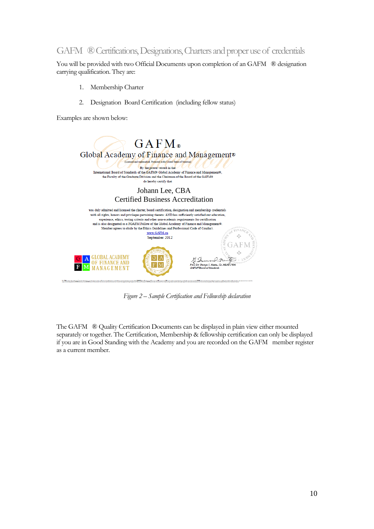### <span id="page-9-0"></span>GAFM ® Certifications, Designations, Charters and proper use of credentials

You will be provided with two Official Documents upon completion of an GAFM ® designation carrying qualification. They are:

- 1. Membership Charter
- 2. Designation Board Certification (including fellow status)

Examples are shown below:



*Figure 2 – Sample Certification and Fellowship declaration*

The GAFM ® Quality Certification Documents can be displayed in plain view either mounted separately or together. The Certification, Membership & fellowship certification can only be displayed if you are in Good Standing with the Academy and you are recorded on the GAFM member register as a current member.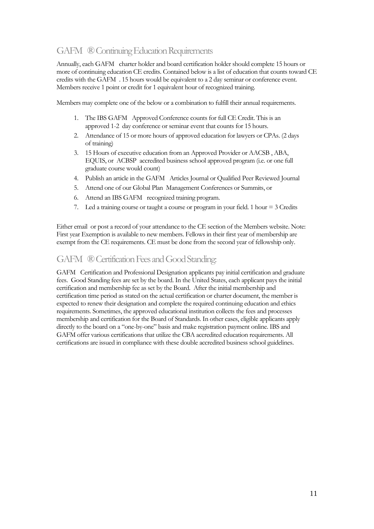# <span id="page-10-0"></span>GAFM ® Continuing Education Requirements

Annually, each GAFM charter holder and board certification holder should complete 15 hours or more of continuing education CE credits. Contained below is a list of education that counts toward CE credits with the GAFM . 15 hours would be equivalent to a 2 day seminar or conference event. Members receive 1 point or credit for 1 equivalent hour of recognized training.

Members may complete one of the below or a combination to fulfill their annual requirements.

- 1. The IBS GAFM Approved Conference counts for full CE Credit. This is an approved 1-2 day conference or seminar event that counts for 15 hours.
- 2. Attendance of 15 or more hours of approved education for lawyers or CPAs. (2 days of training)
- 3. 15 Hours of executive education from an Approved Provider or AACSB , ABA, EQUIS, or ACBSP accredited business school approved program (i.e. or one full graduate course would count)
- 4. Publish an article in the GAFM Articles Journal or Qualified Peer Reviewed Journal
- 5. Attend one of our Global Plan Management Conferences or Summits, or
- 6. Attend an IBS GAFM recognized training program.
- 7. Led a training course or taught a course or program in your field. 1 hour = 3 Credits

Either email or post a record of your attendance to the CE section of the Members website. Note: First year Exemption is available to new members. Fellows in their first year of membership are exempt from the CE requirements. CE must be done from the second year of fellowship only.

## <span id="page-10-1"></span>GAFM ® Certification Fees and Good Standing:

GAFM Certification and Professional Designation applicants pay initial certification and graduate fees. Good Standing fees are set by the board. In the United States, each applicant pays the initial certification and membership fee as set by the Board. After the initial membership and certification time period as stated on the actual certification or charter document, the member is expected to renew their designation and complete the required continuing education and ethics requirements. Sometimes, the approved educational institution collects the fees and processes membership and certification for the Board of Standards. In other cases, eligible applicants apply directly to the board on a "one-by-one" basis and make registration payment online. IBS and GAFM offer various certifications that utilize the CBA accredited education requirements. All certifications are issued in compliance with these double accredited business school guidelines.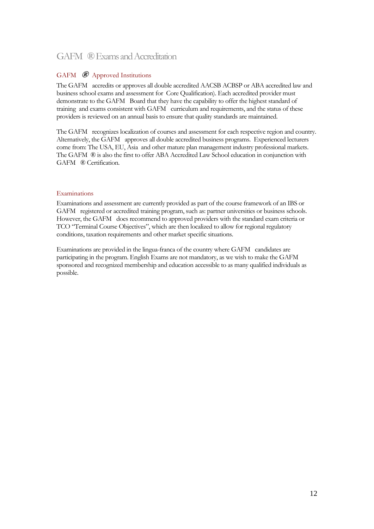### <span id="page-11-0"></span>GAFM ® Exams and Accreditation

### <span id="page-11-1"></span>GAFM **®** Approved Institutions

The GAFM accredits or approves all double accredited AACSB ACBSP or ABA accredited law and business school exams and assessment for Core Qualification). Each accredited provider must demonstrate to the GAFM Board that they have the capability to offer the highest standard of training and exams consistent with GAFM curriculum and requirements, and the status of these providers is reviewed on an annual basis to ensure that quality standards are maintained.

The GAFM recognizes localization of courses and assessment for each respective region and country. Alternatively, the GAFM approves all double accredited business programs. Experienced lecturers come from: The USA, EU, Asia and other mature plan management industry professional markets. The GAFM ® is also the first to offer ABA Accredited Law School education in conjunction with GAFM ® Certification.

### <span id="page-11-2"></span>Examinations

Examinations and assessment are currently provided as part of the course framework of an IBS or GAFM registered or accredited training program, such as: partner universities or business schools. However, the GAFM does recommend to approved providers with the standard exam criteria or TCO "Terminal Course Objectives", which are then localized to allow for regional regulatory conditions, taxation requirements and other market specific situations.

Examinations are provided in the lingua-franca of the country where GAFM candidates are participating in the program. English Exams are not mandatory, as we wish to make the GAFM sponsored and recognized membership and education accessible to as many qualified individuals as possible.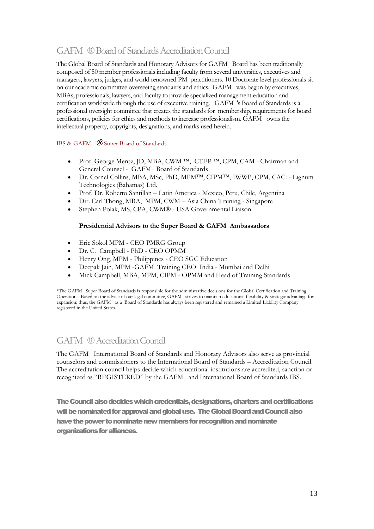# <span id="page-12-0"></span>GAFM ® Board of Standards Accreditation Council

The Global Board of Standards and Honorary Advisors for GAFM Board has been traditionally composed of 50 member professionals including faculty from several universities, executives and managers, lawyers, judges, and world renowned PM practitioners. 10 Doctorate level professionals sit on our academic committee overseeing standards and ethics. GAFM was begun by executives, MBAs, professionals, lawyers, and faculty to provide specialized management education and certification worldwide through the use of executive training. GAFM 's Board of Standards is a professional oversight committee that creates the standards for membership, requirements for board certifications, policies for ethics and methods to increase professionalism. GAFM owns the intellectual property, copyrights, designations, and marks used herein.

### <span id="page-12-1"></span>IBS & GAFM **®** Super Board of Standards

- [Prof. George Mentz,](http://www.financialanalyst.org/mentz.html) JD, MBA, CWM<sup>TM</sup>, CTEP<sup>TM</sup>, CPM, CAM Chairman and General Counsel - GAFM Board of Standards
- Dr. Cornel Collins, MBA, MSc, PhD, MPM™, CIPM™, IWWP, CPM, CAC: Lignum Technologies (Bahamas) Ltd.
- Prof. Dr. Roberto Santillan Latin America Mexico, Peru, Chile, Argentina
- Dir. Carl Thong, MBA, MPM, CWM Asia China Training Singapore
- Stephen Polak, MS, CPA, CWM® USA Governmental Liaison

### **Presidential Advisors to the Super Board & GAFM Ambassadors**

- Eric Sokol MPM CEO PMRG Group
- Dr. C. Campbell PhD CEO OPMM
- Henry Ong, MPM Philippines CEO SGC Education
- Deepak Jain, MPM -GAFM Training CEO India Mumbai and Delhi
- Mick Campbell, MBA, MPM, CIPM OPMM and Head of Training Standards

\*The GAFM Super Board of Standards is responsible for the administrative decisions for the Global Certification and Training Operations. Based on the advice of our legal committee, GAFM strives to maintain educational flexibility & strategic advantage for expansion; thus, the GAFM as a Board of Standards has always been registered and remained a Limited Liability Company registered in the United States.

### <span id="page-12-2"></span>GAFM ®Accreditation Council

The GAFM International Board of Standards and Honorary Advisors also serve as provincial counselors and commissioners to the International Board of Standards – Accreditation Council. The accreditation council helps decide which educational institutions are accredited, sanction or recognized as "REGISTERED" by the GAFM and International Board of Standards IBS.

<span id="page-12-3"></span>The Council also decides which credentials, designations, charters and certifications will be nominated for approval and global use. The Global Board and Council also have the power to nominate new members for recognition and nominate organizations for alliances.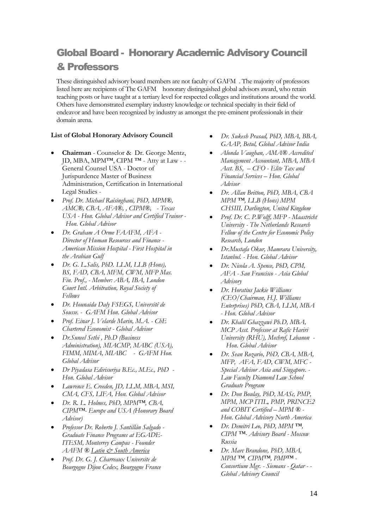# <span id="page-13-0"></span>Global Board - Honorary Academic Advisory Council & Professors

These distinguished advisory board members are not faculty of GAFM . The majority of professors listed here are recipients of The GAFM honorary distinguished global advisors award, who retain teaching posts or have taught at a tertiary level for respected colleges and institutions around the world. Others have demonstrated exemplary industry knowledge or technical specialty in their field of endeavor and have been recognized by industry as amongst the pre-eminent professionals in their domain arena.

### **List of Global Honorary Advisory Council**

- **Chairman** Counselor & Dr. George Mentz, JD, MBA, MPM™, CIPM ™ - Atty at Law - - General Counsel USA - Doctor of Jurispurdence Master of Business Administration, Certification in International Legal Studies -
- *Prof. Dr. Michael Raisinghani, PhD, MPM®, AMC®, CBA, AFA®, , CIPM®, - Texas USA - Hon. Global Advisor and Certified Trainer - Hon. Global Advisor*
- *Dr. Graham A Orme FAAFM, AFA - Director of Human Resources and Finance - American Mission Hospital - First Hospital in the Arabian Gulf*
- *Dr. G. L.Salis, PhD. LLM, LLB (Hons), BS, FAD, CBA, MFM, CWM, MFP Mas. Fin. Prof., - Member: ABA, IBA, London Court Intl. Arbitration, Royal Society of Fellows*
- *Dr. Hounaida Daly FSEGS, Université de Sousse. - GAFM Hon. Global Advisor*
- *Prof. Einar J. Velarde Marin, M.A. - ChE Chartered Economist - Global Advisor*
- *Dr.Suneel Sethi , Ph.D (Business Administration), MIACMP, MABC (USA), FIMM, MIMA, MIABC - GAFM Hon. Global Advisor*
- *Dr Piyadasa Edirisuriya B.Ec., M.Ec., PhD - Hon. Global Advisor*
- *Lawrence E. Creeden, JD, LLM, MBA, MSI, CMA, CFS, LIFA, Hon. Global Advisor*
- *Dr. R. L. Holmes, PhD, MPM™, CBA, CIPM™- Europe and USA (Honorary Board Advisor)*
- *Professor Dr. Roberto J. Santillán Salgado - Graduate Finance Programs at EGADE-ITESM, Monterrey Campus - Founder AAFM ® Latin & South America*
- *Prof. Dr. G. J. Charreaux Universite de Bourgogne Dijon Cedex, Bourgogne France*
- *Dr. Sukesh Prasad, PhD, MBA, BBA, GAAP, Betul, Global Advisor India*
- *Alonda Vaughan, AMA® Accredited Management Accountant, MBA, MBA Acct. BS, – CFO - Elite Tax and Financial Services – Hon. Global Advisor*
- *Dr. Allan Britton, PhD, MBA, CBA MPM ™, LLB (Hons) MPM CHSIII, Darlington, United Kingdom*
- *Prof. Dr. C. P.Wolff, MFP - Maastricht University - The Netherlands Research Fellow of the Centre for Economic Policy Research, London*
- *Dr.Mustafa Okur, Mamrara University, Istanbul. - Hon. Global Advisor*
- *Dr. Nicola A. Spence, PhD, CPM, AFA - San Francisco - Asia Global Advisory*
- *Dr. Horatius Jackie Williams (CEO/Chairman, H.J. Williams Enterprises) PhD, CBA, LLM, MBA - Hon. Global Advisor*
- *Dr. Khalil Ghazzawi Ph.D, MBA, MCP Asst. Professor at Rafic Hariri University (RHU), Mechref, Lebanon - Hon. Global Advisor*
- *Dr. Sean Rozario, PhD, CBA, MBA, MFP, AFA, FAD, CWM, MFC - Special Advisor Asia and Singapore. - Law Faculty Diamond Law School Graduate Program*
- *Dr. Don Boulay, PhD, MASc, PMP, MPM, MCP ITIL, PMP, PRINCE2 and COBIT Certified – MPM ® - Hon. Global Advisory North America*
- *Dr. Demitri Leo, PhD, MPM ™, CIPM ™- Advisory Board - Moscow Russia*
- *Dr. Marc Brandone, PhD, MBA, MPM ™, CIPM™, PMP™ - Consortium Mgr. - Siemans - Qatar - - Global Advisory Council*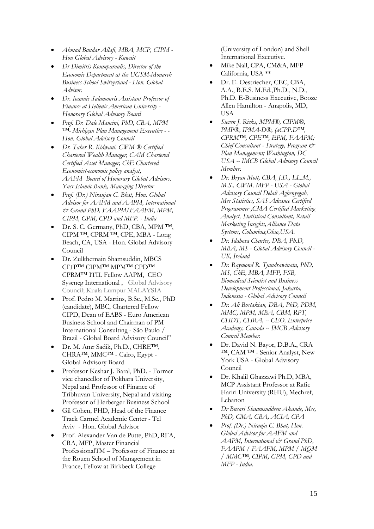- *Ahmad Bandar Allafi, MBA, MCP, CIPM - Hon Global Advisory - Kuwait*
- *Dr Dimitris Koumparoulis, Director of the Economic Department at the UGSM-Monarch Business School Switzerland - Hon. Global Advisor.*
- *Dr. Ioannis Salamouris Assistant Professor of Finance at Hellenic American University - Honorary Global Advisory Board*
- *Prof. Dr. Dale Mancini, PhD, CBA, MPM ™- Michigan Plan Management Executive - - Hon. Global Advisory Council*
- *Dr. Taher R. Kidwani. CWM ® Certified Chartered Wealth Manager, CAM Chartered Certified Asset Manager, ChE Chartered Economist-economic policy analyst, AAFM Board of Honorary Global Advisors. Yusr Islamic Bank, Managing Director*
- *Prof. (Dr.) Niranjan C. Bhat, Hon. Global Advisor for AAFM and AAPM, International & Grand PhD, FAAPM/FAAFM, MPM, CIPM, GPM, CPD and MFP. - India*
- Dr. S. C. Germany, PhD, CBA, MPM ™, CIPM ™, CPRM ™, CPE, MBA - Long Beach, CA, USA - Hon. Global Advisory Council
- Dr. Zulkhernain Shamsuddin, MBCS CITP™ CIPM™ MPM™ CPD™ CPRM™ ITIL Fellow AAPM, CEO Syseneg International , Global Advisory Council; Kuala Lumpur MALAYSIA
- Prof. Pedro M. Martins, B.Sc., M.Sc., PhD (candidate), MBC, Chartered Fellow CIPD, Dean of EABS - Euro American Business School and Chairman of PM International Consulting - São Paulo / Brazil - Global Board Advisory Council"
- Dr. M. Amr Sadik, Ph.D., CHRE™, CHRA™, MMC™ - Cairo, Egypt - Global Advisory Board
- Professor Keshar J. Baral, PhD. Former vice chancellor of Pokhara University, Nepal and Professor of Finance of Tribhuvan University, Nepal and visiting Professor of Herberger Business School
- Gil Cohen, PHD, Head of the Finance Track Carmel Academic Center - Tel Aviv - Hon. Global Advisor
- Prof. Alexander Van de Putte, PhD, RFA, CRA, MFP, Master Financial ProfessionalTM – Professor of Finance at the Rouen School of Management in France, Fellow at Birkbeck College

(University of London) and Shell International Executive.

- Mike Nall, CPA, CM&A, MFP California, USA \*\*
- Dr. E. Oestriecher, CEC, CBA, A.A., B.E.S. M.Ed.,Ph.D., N.D., Ph.D. E-Business Executive, Booze Allen Hamilton - Anapolis, MD, USA
- *Steven J. Ricks, MPM®, CIPM®, PMP®, IPMA-D®, (aCPP.D™, CPRM™, CPE™, EPM, FAAPM; Chief Consultant - Strategy, Program & Plan Management; Washington, DC USA -- IMCB Global Advisory Council Member.*
- *Dr. Bryan Mott, CBA, J.D., LL.M., M.S., CWM, MFP - USA - Global Advisory Council Delali Agbenyegah, Msc Statistics, SAS Advance Certified Programmer ,CMA Certified Marketing Analyst, Statistical Consultant, Retail Marketing Insights,Alliance Data Systems, Columbus,Ohio,USA.*
- *Dr. Idahosa Charles, DBA, Ph.D, MBA, MS - Global Advisory Council - UK, Ireland*
- *Dr. Raymond R. Tjandrawinata, PhD, MS, ChE, MBA, MFP, FSB, Biomedical Scientist and Business Development Professional, Jakarta, Indonesia - Global Advisory Council*
- *Dr. Ali Bostakian, DBA, PhD, PDM, MMC, MPM, MBA, CBM, RPT, CHDT, CHRA, -- CEO, Enterprise Academy, Canada -- IMCB Advisory Council Member.*
- Dr. David N. Bayor, D.B.A., CRA ™, CAM ™ - Senior Analyst, New York USA - Global Advisory Council
- Dr. Khalil Ghazzawi Ph.D, MBA, MCP Assistant Professor at Rafic Hariri University (RHU), Mechref, Lebanon
- *Dr Busari Shaamsuddeen Akande, Msc, PhD, CMA, CBA, ACIA, CPA*
- *Prof. (Dr.) Niranja C. Bhat, Hon. Global Advisor for AAFM and AAPM, International & Grand PhD, FAAPM / FAAFM, MPM / MQM / MMC™, CIPM, GPM, CPD and MFP - India.*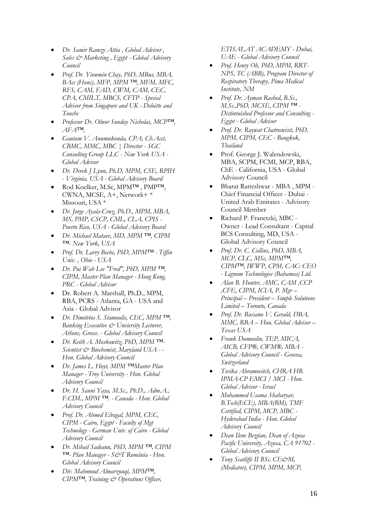- *Dr. Samir Ramzy Attia , Global Advisor , Sales & Marketing , Egypt - Global Advisory Council*
- *Prof. Dr. Yiowmin Chay, PhD, MBus, MBA, BAcc (Hons), MFP, MPM ™, MFM, MFC, RFS, CAM, FAD, CWM, CAM, CEC, CPA, CMILT, MBCS, CFTP - Special Advisor from Singapore and UK - Deloitte and Touche*
- *Professor Dr. Olwor Sunday Nicholas, MCP™, AFA™,*
- *Gautam V. Anumukonda, CPA, Ch.Acct, CBMC, MMC, MBC | Director - SGC Consulting Group LLC - New York USA - Global Advisor*
- *Dr. Derek J Lynn, Ph.D, MPM, CSE, RPIH - Virginia, USA - Global Advisory Board*
- Rod Koelker, M.Sc, MPM™ , PMP™, CWNA, MCSE, A+, Network+ \* Missouri, USA \*
- *Dr. Jorge Ayala-Cruz, Ph.D., MPM, MBA, MS, PMP, CSCP, CML, CLA, CPIS - Puerto Rico, USA - Global Advisory Board*
- *Dr. Michael Mataev, MD, MPM ™, CIPM ™- New York, USA*
- *Prof. Dr. Larry Beebe, PhD, MPM™ - Tiffin Univ. , Ohio - USA*
- *Dr. Pui Wah Lee "Fred", PhD, MPM ™, CIPM, Master Plan Manager - Hong Kong, PRC - Global Advisor*
- Dr. Robert A. Marshall, Ph.D., MPM, RBA, PCRS - Atlanta, GA - USA and Asia - Global Advisor
- *Dr. Dimitrios S. Stamoulis, CEC, MPM ™, Banking Executive & Unviersity Lecturer, Athens, Greece. - Global Advisory Council*
- *Dr. Keith A. Moskowitz, PhD, MPM ™- Scientist & Biochemist, Maryland USA - - Hon. Global Advisory Council*
- *Dr. James L. Hoyt, MPM ™Master Plan Manager - Troy University - Hon. Global Advisory Council*
- *Dr. H. Sanni Yaya, M.Sc., Ph.D., Adm.A., F.CIM., MPM ™. - Canada - Hon. Global Advisory Council*
- *Prof. Dr. Ahmed Elragal, MPM, CEC, CIPM - Cairo, Egypt - Faculty of Mgt Technology - German Univ. of Cairo - Global Advisory Council*
- *Dr. Mihail Sadeanu, PhD, MPM ™, CIPM ™- Plan Manager - S&T România - Hon. Global Advisory Council*
- *Dir. Mahmoud Almarzouqi, MPM™, CIPM™, Training & Operations Officer,*

*ETISALAT ACADEMY - Dubai, UAE - Global Advisory Council*

- *Prof. Henry Oh, PhD, MPM, RRT-NPS, TC (ABB), Program Director of Respiratory Therapy, Pima Medical Institute, NM*
- *Prof. Dr. Ayman Rashed, B.Sc., M.Sc.,PhD, MCSE, CIPM ™ - Distintuished Professor and Consulting - Egypt - Global Advisor*
- *Prof. Dr. Raywat Chatreewisit, PhD, MPM, CIPM, CEC - Bangkok, Thailand*
- Prof. George J. Walendowski, MBA, SCPM, FCMI, MCP, RBA, ChE - California, USA - Global Advisory Council
- Bharat Ratteshwar MBA , MPM Chief Financial Officer - Dubai - United Arab Emirates - Advisory Council Member
- Richard P. Franetzki, MBC Owner - Lead Consultant - Capital BCS Consulting, MD, USA - Global Advisory Council
- *Prof. Dr. C. Collins, PhD, MBA, MCP, CLC, MSc, MPM™, CIPM™, IWWP, CPM, CAC: CEO - Lignum Technologies (Bahamas) Ltd.*
- *Alan B. Hunter, AMC, CAM ,CCP ,CFE, CIPM, ICIA, P. Mgr – Principal – President – Simple Solutions Limited – Toronto, Canada*
- *Prof. Dr. Rossano V. Gerald, DBA, MMC, RBA – Hon. Global Advisor – Texas USA*
- *Frank Dumoulin, TEP, MICA, AICB, CFP®, CWM®, MBA - Global Advisory Council - Geneva, Switzerland*
- *Tsvika Abramovitch, CHRA HR IPMA-CP EMCI / MCI - Hon. Global Advisor - Israel*
- *Mohammed Usama Shaharyar, B.Tech(ECE), MBA(BM), TMF Certified, CIPM, MCP, MBC - Hyderabad India - Hon. Global Advisory Council*
- *Dean Ilene Bezjian, Dean of Azusa Pacific University, Azusa, CA 91702 - Global Advisory Council*
- *Tony Scatliffe II BSc. CE&M, (Mediator), CIPM, MPM, MCP,*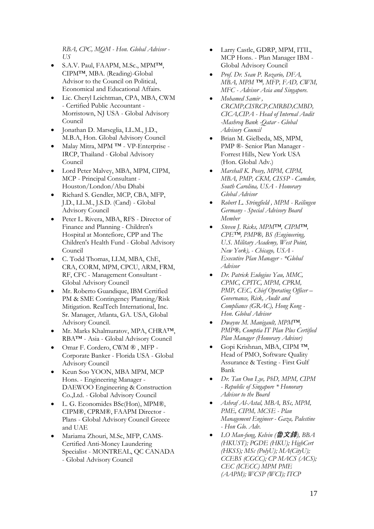*RBA, CPC, MQM - Hon. Global Advisor - US*

- S.A.V. Paul, FAAPM, M.Sc., MPM™, CIPM™, MBA. (Reading)-Global Advisor to the Council on Political, Economical and Educational Affairs.
- Lic. Cheryl Leichtman, CPA, MBA, CWM - Certified Public Accountant - Morristown, NJ USA - Global Advisory Council
- Jonathan D. Marseglia, LL.M., J.D., M.B.A, Hon. Global Advisory Council
- Malay Mitra, MPM ™ VP-Enterprise IRCP, Thailand - Global Advisory Council
- Lord Peter Malvey, MBA, MPM, CIPM, MCP - Principal Consultant - Houston/London/Abu Dhabi
- Richard S. Gendler, MCP, CBA, MFP, J.D., LL.M., J.S.D. (Cand) - Global Advisory Council
- Peter L. Rivera, MBA, RFS Director of Finance and Planning - Children's Hospital at Montefiore, CPP and The Children's Health Fund - Global Advisory Council
- C. Todd Thomas, LLM, MBA, ChE, CRA, CORM, MPM, CPCU, ARM, FRM, RF, CFC - Management Consultant - Global Advisory Council
- Mr. Roberto Guandique, IBM Certified PM & SME Contingency Planning/Risk Mitigation. RealTech International, Inc. Sr. Manager, Atlanta, GA. USA, Global Advisory Council.
- Mr. Marks Khalmuratov, MPA, CHRA™, RBA™ - Asia - Global Advisory Council
- Omar F. Cordero, CWM ® , MFP Corporate Banker - Florida USA - Global Advisory Council
- Keun Soo YOON, MBA MPM, MCP Hons. - Engineering Manager - DAEWOO Engineering & Construction Co.,Ltd. - Global Advisory Council
- L. G. Economides BSc(Hon), MPM®, CIPM®, CPRM®, FAAPM Director - Plans - Global Advisory Council Greece and UAE
- Mariama Zhouri, M.Sc, MFP, CAMS-Certified Anti-Money Laundering Specialist - MONTREAL, QC CANADA - Global Advisory Council
- Larry Castle, GDRP, MPM, ITIL, MCP Hons. - Plan Manager IBM - Global Advisory Council
- *Prof. Dr. Sean P. Rozario, DFA, MBA, MPM ™, MFP, FAD, CWM, MFC - Advisor Asia and Singapore.*
- *Mohamed Samir , CRCMP,CISRCP,CMRBD,CMBD, CICA,CIPA - Head of Internal Audit -Mashreq Bank -Qatar - Global Advisory Council*
- Brian M. Gielbeda, MS, MPM, PMP ®- Senior Plan Manager - Forrest Hills, New York USA (Hon. Global Adv.)
- *Marshall K. Posey, MPM, CIPM, MBA, PMP, CKM, CISSP - Camden, South Carolina, USA - Honorary Global Advisor*
- *Robert L. Stringfield , MPM - Reilingen Germany - Special Advisory Board Member*
- *Steven J. Ricks, MPM™, CIPM™, CPE™, PMP®, BS (Engineering, U.S. Military Academy, West Point, New York), - Chicago, USA - Executive Plan Manager - \*Global Advisor*
- *Dr. Patrick Eulogius Yau, MMC, CPMC, CPITC, MPM, CPRM, PMP, CEC, Chief Operating Officer – Governance, Risk, Audit and Compliance (GRAC), Hong Kong - Hon. Global Advisor*
- *Dwayne M. Manigault, MPM™, PMP®, Comptia IT Plan Plus Certified Plan Manager (Honorary Advisor)*
- Gopi Krishnan, MBA, CIPM ™, Head of PMO, Software Quality Assurance & Testing - First Gulf Bank
- *Dr. Tan Oon Lye, PhD, MPM, CIPM - Republic of Singapore \* Honorary Advisor to the Board*
- *Ashraf Al-Astal, MBA, BSc, MPM, PME, CIPM, MCSE - Plan Management Engineer - Gaza, Palestine - Hon Glo. Adv.*
- *LO Man-fung, Kelvin (*魯文鋒*), BBA (HKUST); PGDE (HKU); HighCert (HKSS); MSc (PolyU); MA(CityU); CCEBS (CGCC); CP MACS (ACS); CEC (ICECC) MPM PME (AAPM); WCSP (WCI); ITCP*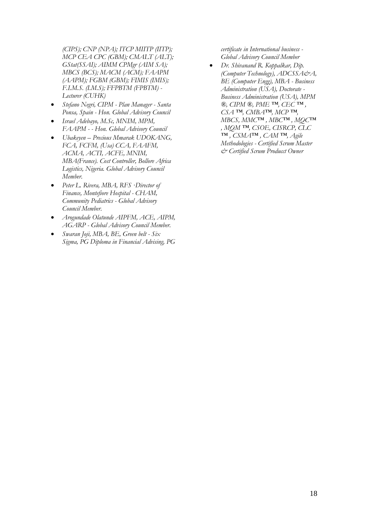*(CIPS); CNP (NPA); ITCP MIITP (IITP); MCP CEA CPC (GBM); CMALT (ALT); GStat(SSAI); AIMM CPMgr (AIM SA); MBCS (BCS); MACM (ACM); FAAPM (AAPM); FGBM (GBM); FIMIS (IMIS); F.I.M.S. (I.M.S); FFPBTM (FPBTM) - Lecturer (CUHK)*

- *Stefano Negri, CIPM - Plan Manager - Santa Ponsa, Spain - Hon. Global Advisory Council*
- *Israel Adebayo, M.Sc, MNIM, MPM, FAAPM - - Hon. Global Advisory Council*
- *Ubakeyen – Precious Mmarak UDOKANG, FCA, FCFM, (Usa) CCA, FAAFM, ACMA, ACTI, ACFE, MNIM, MBA(France). Cost Controller, Bollore Africa Logistics, Nigeria. Global Advisory Council Member.*
- *Peter L. Rivera, MBA, RFS ·Director of Finance, Montefiore Hospital - CHAM, Community Pediatrics - Global Advisory Council Member.*
- *Arogundade Olatunde AIPFM, ACE, AIPM, AGARP - Global Advisory Council Member.*
- *Swaran Joji, MBA, BE, Green belt - Six Sigma, PG Diploma in Financial Advising, PG*

*certificate in International business - Global Advisory Council Member*

 *Dr. Shivanand R. Koppalkar, Dip. (Computer Technology), ADCSSA&A, BE (Computer Engg), MBA - Business Administration (USA), Doctorate - Business Administration (USA), MPM ®, CIPM ®, PME ™, CEC ™ , CSA ™, CMBA™, MCP ™, MBCS, MMC™ , MBC™ , MQC™ , MQM ™, CSOE, CISRCP, CLC ™ , CSMA™ , CAM ™, Agile Methodologies - Certified Scrum Master & Certified Scrum Producct Owner*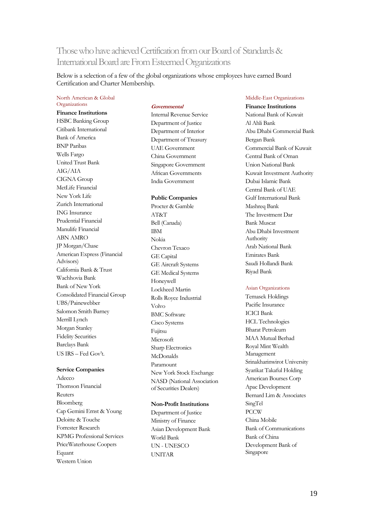# <span id="page-18-0"></span>Those who have achieved Certification from our Board of Standards & International Board are From Esteemed Organizations

Below is a selection of a few of the global organizations whose employees have earned Board Certification and Charter Membership.

#### <span id="page-18-1"></span>North American & Global **Organizations**

**Finance Institutions** HSBC Banking Group Citibank International Bank of America BNP Paribas Wells Fargo United Trust Bank AIG/AIA CIGNA Group MetLife Financial New York Life Zurich International ING Insurance Prudential Financial Manulife Financial ABN AMRO JP Morgan/Chase American Express (Financial Advisors) California Bank & Trust Wachhovia Bank Bank of New York Consolidated Financial Group UBS/Painewebber Salomon Smith Barney Merrill Lynch Morgan Stanley Fidelity Securities Barclays Bank US IRS – Fed Gov't.

#### **Service Companies**

Adecco Thomson Financial Reuters Bloomberg Cap Gemini Ernst & Young Deloitte & Touche Forrester Research KPMG Professional Services PriceWaterhouse Coopers Equant Western Union

#### **Governmental**

Internal Revenue Service Department of Justice Department of Interior Department of Treasury UAE Government China Government Singapore Government African Governments India Government

#### **Public Companies**

Procter & Gamble AT&T Bell (Canada) IBM Nokia Chevron Texaco GE Capital GE Aircraft Systems GE Medical Systems Honeywell Lockheed Martin Rolls Royce Industrial Volvo BMC Software Cisco Systems Fujitsu Microsoft Sharp Electronics McDonalds Paramount New York Stock Exchange NASD (National Association of Securities Dealers)

#### **Non-Profit Institutions**

Department of Justice Ministry of Finance Asian Development Bank World Bank UN - UNESCO UNITAR

#### <span id="page-18-2"></span>Middle-East Organizations

**Finance Institutions** National Bank of Kuwait Al Ahli Bank Abu Dhabi Commercial Bank Bergan Bank Commercial Bank of Kuwait Central Bank of Oman Union National Bank Kuwait Investment Authority Dubai Islamic Bank Central Bank of UAE Gulf International Bank Mashreq Bank The Investment Dar Bank Muscat Abu Dhabi Investment Authority Arab National Bank Emirates Bank Saudi Hollandi Bank Riyad Bank

#### <span id="page-18-3"></span>Asian Organizations

Temasek Holdings Pacific Insurance ICICI Bank HCL Technologies Bharat Petroleum MAA Mutual Berhad Royal Mint Wealth Management Srinakharinwirot University Syarikat Takaful Holding American Bourses Corp Apac Development Bernard Lim & Associates SingTel PCCW China Mobile Bank of Communications Bank of China Development Bank of Singapore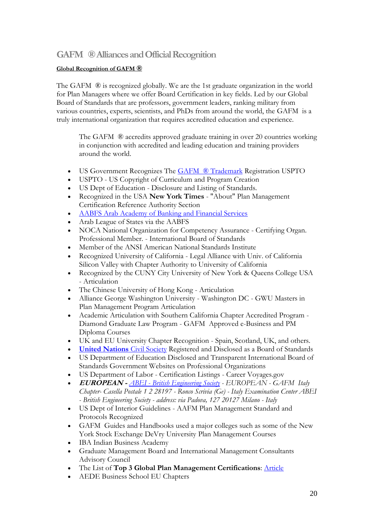### <span id="page-19-0"></span>**GAFM ® Alliances and Official Recognition**

### **Global Recognition of GAFM ®**

The GAFM  $\circledR$  is recognized globally. We are the 1st graduate organization in the world for Plan Managers where we offer Board Certification in key fields. Led by our Global Board of Standards that are professors, government leaders, ranking military from various countries, experts, scientists, and PhDs from around the world, the GAFM is a truly international organization that requires accredited education and experience.

The GAFM ® accredits approved graduate training in over 20 countries working in conjunction with accredited and leading education and training providers around the world.

- US Government Recognizes The **GAFM ® Trademark Registration USPTO**
- USPTO US Copyright of Curriculum and Program Creation
- US Dept of Education Disclosure and Listing of Standards.
- Recognized in the USA **New York Times** "About" Plan Management Certification Reference Authority Section
- [AABFS Arab Academy of Banking and Financial Services](http://www.aabfs.org/)
- Arab League of States via the AABFS
- NOCA National Organization for Competency Assurance Certifying Organ. Professional Member. - International Board of Standards
- Member of the ANSI American National Standards Institute
- Recognized University of California Legal Alliance with Univ. of California Silicon Valley with Chapter Authority to University of California
- Recognized by the CUNY City University of New York & Queens College USA - Articulation
- The Chinese University of Hong Kong Articulation
- Alliance George Washington University Washington DC GWU Masters in Plan Management Program Articulation
- Academic Articulation with Southern California Chapter Accredited Program Diamond Graduate Law Program - GAFM Approved e-Business and PM Diploma Courses
- UK and EU University Chapter Recognition Spain, Scotland, UK, and others.
- **[United Nations](http://www.unesco.org/)** Civil Society Registered and Disclosed as a Board of Standards
- US Department of Education Disclosed and Transparent International Board of Standards Government Websites on Professional Organizations
- US Department of Labor Certification Listings Career Voyages.gov
- **EUROPEAN -** *ABEI - [British Engineering Society](http://www.theabei.eu/index.php?option=com_content&view=frontpage&Itemid=54) - EUROPEAN - GAFM Italy Chapter- Casella Postale 1 2 28197 - Ronco Scrivia (Ge) - Italy Examination Center ABEI - British Engineering Society - address: via Padova, 127 20127 Milano - Italy*
- US Dept of Interior Guidelines AAFM Plan Management Standard and Protocols Recognized
- GAFM Guides and Handbooks used a major colleges such as some of the New York Stock Exchange DeVry University Plan Management Courses
- IBA Indian Business Academy
- Graduate Management Board and International Management Consultants Advisory Council
- The List of **Top 3 Global Plan Management Certifications**: [Article](http://www.pmpcertificationtips.com/top-project-management-certifications)
- AEDE Business School EU Chapters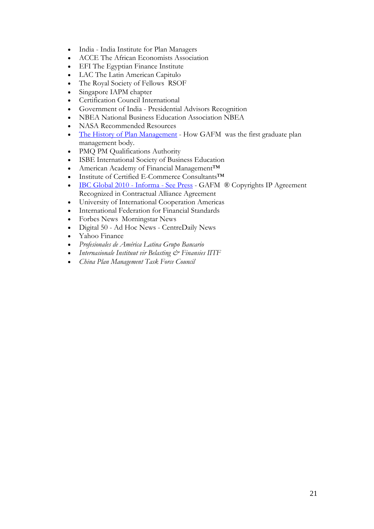- India India Institute for Plan Managers
- ACCE The African Economists Association
- EFI The Egyptian Finance Institute
- LAC The Latin American Capitulo
- The Royal Society of Fellows RSOF
- Singapore IAPM chapter
- Certification Council International
- Government of India Presidential Advisors Recognition
- NBEA National Business Education Association NBEA
- NASA Recommended Resources
- [The History of Plan](http://www.articlesnatch.com/Article/An-Overview-On-The-History-Of-Project-Management-And-Current-Project-Management-Salary/2618011) Management How GAFM was the first graduate plan management body.
- PMQ PM Qualifications Authority
- ISBE International Society of Business Education
- American Academy of Financial Management™
- Institute of Certified E-Commerce Consultants™
- [IBC Global 2010 -](http://www.pmforum.org/blogs/press/2010/05/ProjectManagementviewedfromadistancepractical.html) Informa See Press GAFM ® Copyrights IP Agreement Recognized in Contractual Alliance Agreement
- University of International Cooperation Americas
- International Federation for Financial Standards
- Forbes News Morningstar News
- Digital 50 Ad Hoc News CentreDaily News
- Yahoo Finance
- *Profesionales de América Latina Grupo Bancario*
- *Internasionale Instituut vir Belasting & Finansies IITF*
- *China Plan Management Task Force Council*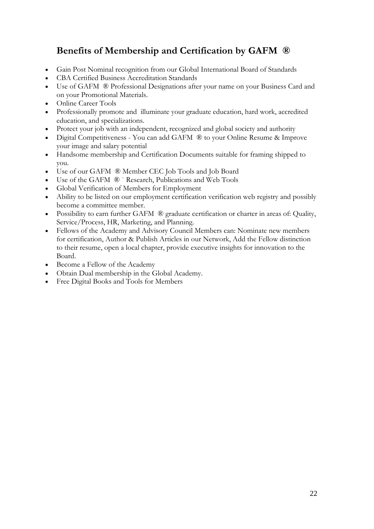# **Benefits of Membership and Certification by GAFM ®**

- Gain Post Nominal recognition from our Global International Board of Standards
- CBA Certified Business Accreditation Standards
- Use of GAFM ® Professional Designations after your name on your Business Card and on your Promotional Materials.
- Online Career Tools
- Professionally promote and illuminate your graduate education, hard work, accredited education, and specializations.
- Protect your job with an independent, recognized and global society and authority
- Digital Competitiveness You can add GAFM ® to your Online Resume & Improve your image and salary potential
- Handsome membership and Certification Documents suitable for framing shipped to you.
- Use of our GAFM ® Member CEC Job Tools and Job Board
- Use of the GAFM  $\circledR$  `Research, Publications and Web Tools
- Global Verification of Members for Employment
- Ability to be listed on our employment certification verification web registry and possibly become a committee member.
- Possibility to earn further GAFM ® graduate certification or charter in areas of: Quality, Service/Process, HR, Marketing, and Planning.
- Fellows of the Academy and Advisory Council Members can: Nominate new members for certification, Author & Publish Articles in our Network, Add the Fellow distinction to their resume, open a local chapter, provide executive insights for innovation to the Board.
- Become a Fellow of the Academy
- Obtain Dual membership in the Global Academy.
- Free Digital Books and Tools for Members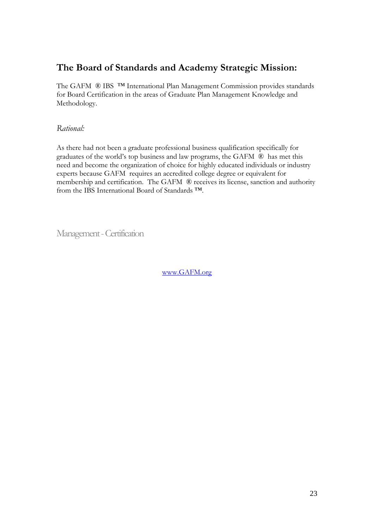# **The Board of Standards and Academy Strategic Mission:**

The GAFM ® IBS ™ International Plan Management Commission provides standards for Board Certification in the areas of Graduate Plan Management Knowledge and Methodology.

<span id="page-22-0"></span>*Rational:* 

As there had not been a graduate professional business qualification specifically for graduates of the world's top business and law programs, the GAFM ® has met this need and become the organization of choice for highly educated individuals or industry experts because GAFM requires an accredited college degree or equivalent for membership and certification. The GAFM ® receives its license, sanction and authority from the IBS International Board of Standards ™.

<span id="page-22-1"></span>Management -Certification

[www.GAFM.org](http://www.gafm.org/)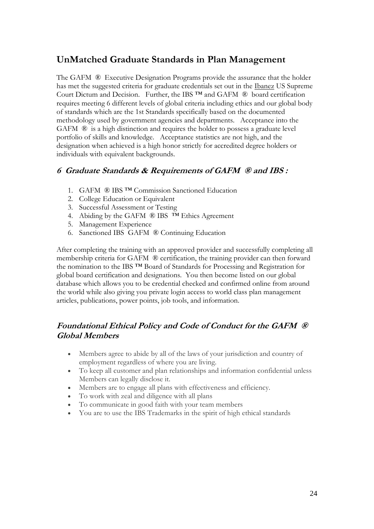# **UnMatched Graduate Standards in Plan Management**

The GAFM ® Executive Designation Programs provide the assurance that the holder has met the suggested criteria for graduate credentials set out in the Ibanez US Supreme Court Dictum and Decision. Further, the IBS ™ and GAFM ® board certification requires meeting 6 different levels of global criteria including ethics and our global body of standards which are the 1st Standards specifically based on the documented methodology used by government agencies and departments. Acceptance into the GAFM ® is a high distinction and requires the holder to possess a graduate level portfolio of skills and knowledge. Acceptance statistics are not high, and the designation when achieved is a high honor strictly for accredited degree holders or individuals with equivalent backgrounds.

### <span id="page-23-0"></span>**6 Graduate Standards & Requirements of GAFM ® and IBS :**

- 1. GAFM ® IBS ™ Commission Sanctioned Education
- 2. College Education or Equivalent
- 3. Successful Assessment or Testing
- 4. Abiding by the GAFM ® IBS ™ Ethics Agreement
- 5. Management Experience
- 6. Sanctioned IBS GAFM ® Continuing Education

After completing the training with an approved provider and successfully completing all membership criteria for GAFM ® certification, the training provider can then forward the nomination to the IBS ™ Board of Standards for Processing and Registration for global board certification and designations. You then become listed on our global database which allows you to be credential checked and confirmed online from around the world while also giving you private login access to world class plan management articles, publications, power points, job tools, and information.

### <span id="page-23-1"></span>**Foundational Ethical Policy and Code of Conduct for the GAFM ® Global Members**

- Members agree to abide by all of the laws of your jurisdiction and country of employment regardless of where you are living.
- To keep all customer and plan relationships and information confidential unless Members can legally disclose it.
- Members are to engage all plans with effectiveness and efficiency.
- To work with zeal and diligence with all plans
- To communicate in good faith with your team members
- You are to use the IBS Trademarks in the spirit of high ethical standards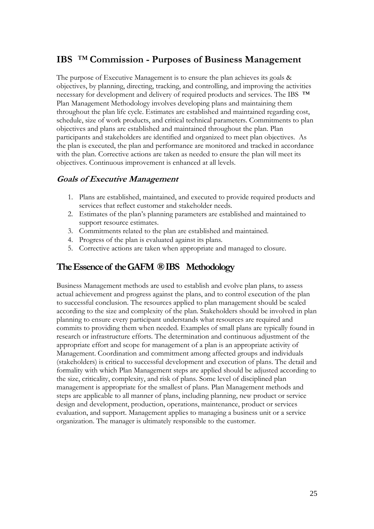## <span id="page-24-0"></span>**IBS** *™* **Commission - Purposes of Business Management**

The purpose of Executive Management is to ensure the plan achieves its goals & objectives, by planning, directing, tracking, and controlling, and improving the activities necessary for development and delivery of required products and services. The IBS ™ Plan Management Methodology involves developing plans and maintaining them throughout the plan life cycle. Estimates are established and maintained regarding cost, schedule, size of work products, and critical technical parameters. Commitments to plan objectives and plans are established and maintained throughout the plan. Plan participants and stakeholders are identified and organized to meet plan objectives. As the plan is executed, the plan and performance are monitored and tracked in accordance with the plan. Corrective actions are taken as needed to ensure the plan will meet its objectives. Continuous improvement is enhanced at all levels.

### <span id="page-24-1"></span>**Goals of Executive Management**

- 1. Plans are established, maintained, and executed to provide required products and services that reflect customer and stakeholder needs.
- 2. Estimates of the plan's planning parameters are established and maintained to support resource estimates.
- 3. Commitments related to the plan are established and maintained.
- 4. Progress of the plan is evaluated against its plans.
- 5. Corrective actions are taken when appropriate and managed to closure.

### <span id="page-24-2"></span>**The Essence of the GAFM ® IBS Methodology**

Business Management methods are used to establish and evolve plan plans, to assess actual achievement and progress against the plans, and to control execution of the plan to successful conclusion. The resources applied to plan management should be scaled according to the size and complexity of the plan. Stakeholders should be involved in plan planning to ensure every participant understands what resources are required and commits to providing them when needed. Examples of small plans are typically found in research or infrastructure efforts. The determination and continuous adjustment of the appropriate effort and scope for management of a plan is an appropriate activity of Management. Coordination and commitment among affected groups and individuals (stakeholders) is critical to successful development and execution of plans. The detail and formality with which Plan Management steps are applied should be adjusted according to the size, criticality, complexity, and risk of plans. Some level of disciplined plan management is appropriate for the smallest of plans. Plan Management methods and steps are applicable to all manner of plans, including planning, new product or service design and development, production, operations, maintenance, product or services evaluation, and support. Management applies to managing a business unit or a service organization. The manager is ultimately responsible to the customer.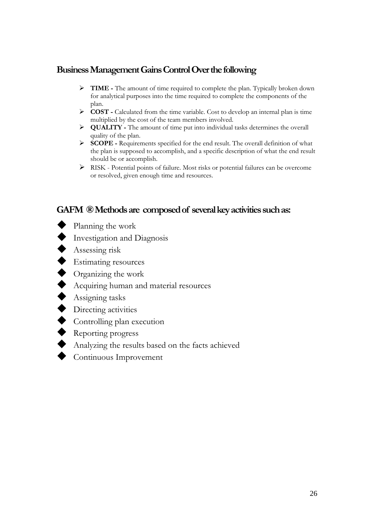### <span id="page-25-0"></span>**BusinessManagement Gains Control Over the following**

- **TIME -** The amount of time required to complete the plan. Typically broken down for analytical purposes into the time required to complete the components of the plan.
- **COST -** Calculated from the time variable. Cost to develop an internal plan is time multiplied by the cost of the team members involved.
- **QUALITY -** The amount of time put into individual tasks determines the overall quality of the plan.
- **SCOPE -** Requirements specified for the end result. The overall definition of what the plan is supposed to accomplish, and a specific description of what the end result should be or accomplish.
- RISK Potential points of failure. Most risks or potential failures can be overcome or resolved, given enough time and resources.

## <span id="page-25-1"></span>**GAFM ® Methods are composed of several key activities such as:**

- ◆ Planning the work
- $\blacklozenge$  Investigation and Diagnosis
- Assessing risk
- Estimating resources
- ◆ Organizing the work
- Acquiring human and material resources
- $\blacklozenge$  Assigning tasks
- $\blacklozenge$  Directing activities
- Controlling plan execution
- Reporting progress
- Analyzing the results based on the facts achieved
- ◆ Continuous Improvement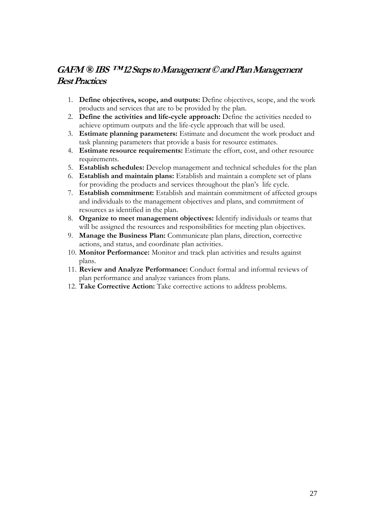# <span id="page-26-0"></span>**GAFM ® IBS ™ 12 Steps to Management © and PlanManagement Best Practices**

- 1. **Define objectives, scope, and outputs:** Define objectives, scope, and the work products and services that are to be provided by the plan.
- 2. **Define the activities and life-cycle approach:** Define the activities needed to achieve optimum outputs and the life-cycle approach that will be used.
- 3. **Estimate planning parameters:** Estimate and document the work product and task planning parameters that provide a basis for resource estimates.
- 4. **Estimate resource requirements:** Estimate the effort, cost, and other resource requirements.
- 5. **Establish schedules:** Develop management and technical schedules for the plan
- 6. **Establish and maintain plans:** Establish and maintain a complete set of plans for providing the products and services throughout the plan's life cycle.
- 7. **Establish commitment:** Establish and maintain commitment of affected groups and individuals to the management objectives and plans, and commitment of resources as identified in the plan.
- 8. **Organize to meet management objectives:** Identify individuals or teams that will be assigned the resources and responsibilities for meeting plan objectives.
- 9. **Manage the Business Plan:** Communicate plan plans, direction, corrective actions, and status, and coordinate plan activities.
- 10. **Monitor Performance:** Monitor and track plan activities and results against plans.
- 11. **Review and Analyze Performance:** Conduct formal and informal reviews of plan performance and analyze variances from plans.
- 12. **Take Corrective Action:** Take corrective actions to address problems.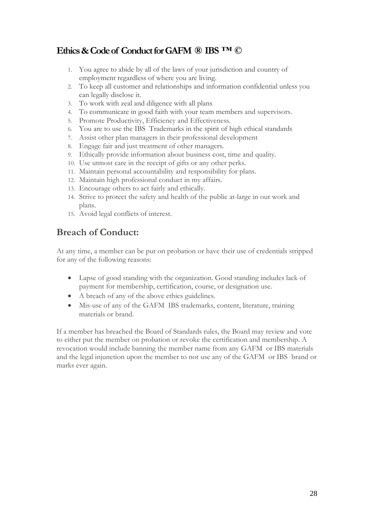# <span id="page-27-0"></span>**Ethics & Code of Conduct for GAFM ® IBS ™ ©**

- 1. You agree to abide by all of the laws of your jurisdiction and country of employment regardless of where you are living.
- 2. To keep all customer and relationships and information confidential unless you can legally disclose it.
- 3. To work with zeal and diligence with all plans
- 4. To communicate in good faith with your team members and supervisors.
- 5. Promote Productivity, Efficiency and Effectiveness.
- 6. You are to use the IBS Trademarks in the spirit of high ethical standards
- 7. Assist other plan managers in their professional development
- 8. Engage fair and just treatment of other managers.
- 9. Ethically provide information about business cost, time and quality.
- 10. Use utmost care in the receipt of gifts or any other perks.
- 11. Maintain personal accountability and responsibility for plans.
- 12. Maintain high professional conduct in my affairs.
- 13. Encourage others to act fairly and ethically.
- 14. Strive to protect the safety and health of the public at-large in our work and plans.
- 15. Avoid legal conflicts of interest.

# **Breach of Conduct:**

At any time, a member can be put on probation or have their use of credentials stripped for any of the following reasons:

- Lapse of good standing with the organization. Good standing includes lack of payment for membership, certification, course, or designation use.
- A breach of any of the above ethics guidelines.
- Mis-use of any of the GAFM IBS trademarks, content, literature, training materials or brand.

If a member has breached the Board of Standards rules, the Board may review and vote to either put the member on probation or revoke the certification and membership. A revocation would include banning the member name from any GAFM or IBS materials and the legal injunction upon the member to not use any of the GAFM or IBS brand or marks ever again.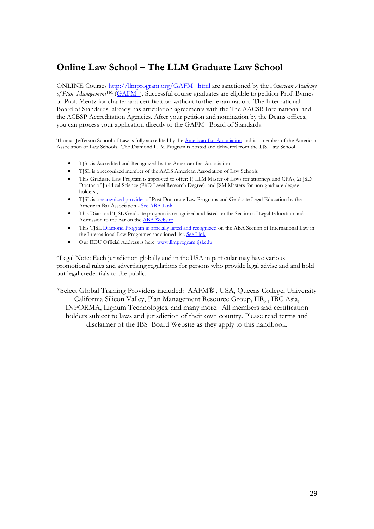# **Online Law School – The LLM Graduate Law School**

ONLINE Course[s http://llmprogram.org/GAFM .html](http://llmprogram.org/aafm.html) are sanctioned by the *American Academy of Plan Management*™ ([GAFM \)](http://www.aapm.eu/). Successful course graduates are eligible to petition Prof. Byrnes or Prof. Mentz for charter and certification without further examination.. The International Board of Standards already has articulation agreements with the The AACSB International and the ACBSP Accreditation Agencies. After your petition and nomination by the Deans offices, you can process your application directly to the GAFM Board of Standards.

Thomas Jefferson School of Law is fully accredited by the [American Bar Association](http://www.abanet.org/legaled/postjdprograms/postjd-school.html) and is a member of the American Association of Law Schools. The Diamond LLM Program is hosted and delivered from the TJSL law School.

- TJSL is Accredited and Recognized by the American Bar Association
- TJSL is a recognized member of the AALS American Association of Law Schools
- This Graduate Law Program is approved to offer: 1) LLM Master of Laws for attorneys and CPAs, 2) JSD Doctor of Juridical Science (PhD Level Research Degree), and JSM Masters for non-graduate degree holders.,
- TJSL is a [recognized provider](http://www.abanet.org/legaled/postjdprograms/postjd-school.html) of Post Doctorate Law Programs and Graduate Legal Education by the American Bar Association - [See ABA Link](http://www.abanet.org/legaled/postjdprograms/postjd-school.html)
- This Diamond TJSL Graduate program is recognized and listed on the Section of Legal Education and Admission to the Bar on th[e ABA Website](http://www.abanet.org/legaled/postjdprograms/postjd-school.html)
- This TJSL [Diamond Program is officially listed and recognized](http://www.abanet.org/intlaw/students/llm.html) on the ABA Section of International Law in the International Law Programes sanctioned list. [See Link](http://www.abanet.org/intlaw/students/llm.html)
- Our EDU Official Address is here[: www.llmprogram.tjsl.edu](http://www.llmprogram.tjsl.edu/)

\*Legal Note: Each jurisdiction globally and in the USA in particular may have various promotional rules and advertising regulations for persons who provide legal advise and and hold out legal credentials to the public..

\*Select Global Training Providers included: AAFM® , USA, Queens College, University California Silicon Valley, Plan Management Resource Group, IIR, , IBC Asia, INFORMA, Lignum Technologies, and many more. All members and certification holders subject to laws and jurisdiction of their own country. Please read terms and disclaimer of the IBS Board Website as they apply to this handbook.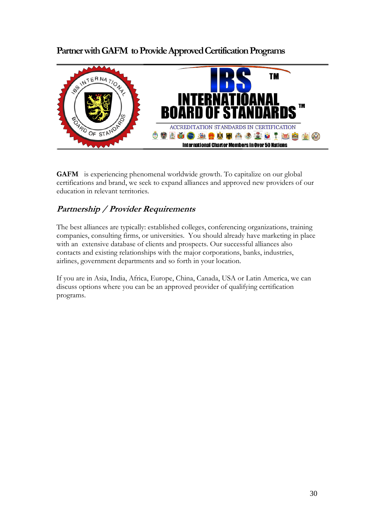## <span id="page-29-0"></span>**Partner with GAFM to Provide Approved Certification Programs**



**GAFM** is experiencing phenomenal worldwide growth. To capitalize on our global certifications and brand, we seek to expand alliances and approved new providers of our education in relevant territories.

### <span id="page-29-1"></span>**Partnership / Provider Requirements**

The best alliances are typically: established colleges, conferencing organizations, training companies, consulting firms, or universities. You should already have marketing in place with an extensive database of clients and prospects. Our successful alliances also contacts and existing relationships with the major corporations, banks, industries, airlines, government departments and so forth in your location.

If you are in Asia, India, Africa, Europe, China, Canada, USA or Latin America, we can discuss options where you can be an approved provider of qualifying certification programs.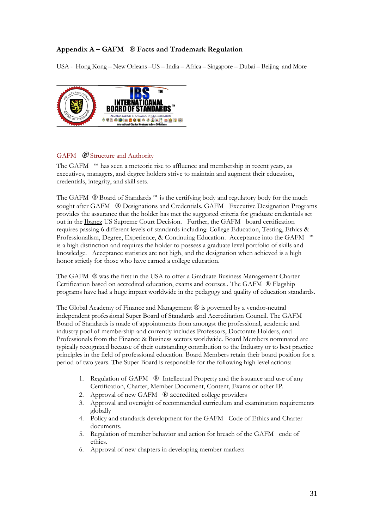### **Appendix A – GAFM ® Facts and Trademark Regulation**

USA - Hong Kong – New Orleans –US – India – Africa – Singapore – Dubai – Beijing and More



### <span id="page-30-0"></span>GAFM **®** Structure and Authority

The GAFM ™ has seen a meteoric rise to affluence and membership in recent years, as executives, managers, and degree holders strive to maintain and augment their education, credentials, integrity, and skill sets.

The GAFM ® Board of Standards ™ is the certifying body and regulatory body for the much sought after GAFM ® Designations and Credentials. GAFM Executive Designation Programs provides the assurance that the holder has met the suggested criteria for graduate credentials set out in the Ibanez US Supreme Court Decision. Further, the GAFM board certification requires passing 6 different levels of standards including: College Education, Testing, Ethics & Professionalism, Degree, Experience, & Continuing Education. Acceptance into the GAFM ™ is a high distinction and requires the holder to possess a graduate level portfolio of skills and knowledge. Acceptance statistics are not high, and the designation when achieved is a high honor strictly for those who have earned a college education.

The GAFM ® was the first in the USA to offer a Graduate Business Management Charter Certification based on accredited education, exams and courses.. The GAFM ® Flagship programs have had a huge impact worldwide in the pedagogy and quality of education standards.

The Global Academy of Finance and Management  $\mathcal{R}$  is governed by a vendor-neutral independent professional Super Board of Standards and Accreditation Council. The GAFM Board of Standards is made of appointments from amongst the professional, academic and industry pool of membership and currently includes Professors, Doctorate Holders, and Professionals from the Finance & Business sectors worldwide. Board Members nominated are typically recognized because of their outstanding contribution to the Industry or to best practice principles in the field of professional education. Board Members retain their board position for a period of two years. The Super Board is responsible for the following high level actions:

- 1. Regulation of GAFM ® Intellectual Property and the issuance and use of any Certification, Charter, Member Document, Content, Exams or other IP.
- Approval of new GAFM ® accredited college providers
- 3. Approval and oversight of recommended curriculum and examination requirements globally
- 4. Policy and standards development for the GAFM Code of Ethics and Charter documents.
- 5. Regulation of member behavior and action for breach of the GAFM code of ethics.
- 6. Approval of new chapters in developing member markets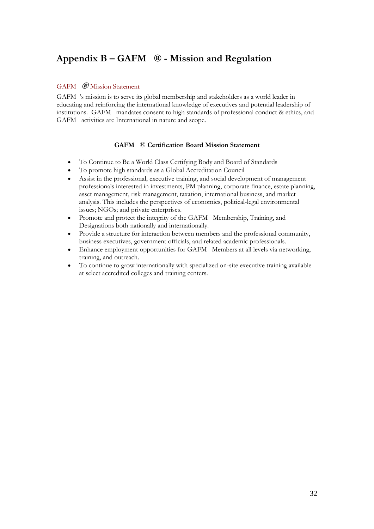# <span id="page-31-0"></span>**Appendix B – GAFM ® - Mission and Regulation**

### <span id="page-31-1"></span>GAFM **®** Mission Statement

GAFM 's mission is to serve its global membership and stakeholders as a world leader in educating and reinforcing the international knowledge of executives and potential leadership of institutions. GAFM mandates consent to high standards of professional conduct & ethics, and GAFM activities are International in nature and scope.

### **GAFM** ® **Certification Board Mission Statement**

- To Continue to Be a World Class Certifying Body and Board of Standards
- To promote high standards as a Global Accreditation Council
- Assist in the professional, executive training, and social development of management professionals interested in investments, PM planning, corporate finance, estate planning, asset management, risk management, taxation, international business, and market analysis. This includes the perspectives of economics, political-legal environmental issues; NGOs; and private enterprises.
- Promote and protect the integrity of the GAFM Membership, Training, and Designations both nationally and internationally.
- Provide a structure for interaction between members and the professional community, business executives, government officials, and related academic professionals.
- Enhance employment opportunities for GAFM Members at all levels via networking, training, and outreach.
- To continue to grow internationally with specialized on-site executive training available at select accredited colleges and training centers.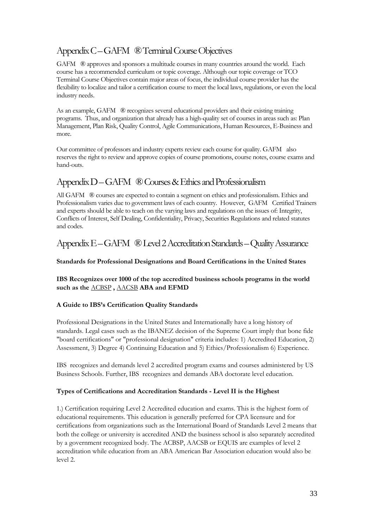# <span id="page-32-0"></span>Appendix C–GAFM ® Terminal Course Objectives

GAFM ® approves and sponsors a multitude courses in many countries around the world. Each course has a recommended curriculum or topic coverage. Although our topic coverage or TCO Terminal Course Objectives contain major areas of focus, the individual course provider has the flexibility to localize and tailor a certification course to meet the local laws, regulations, or even the local industry needs.

As an example, GAFM ® recognizes several educational providers and their existing training programs. Thus, and organization that already has a high-quality set of courses in areas such as: Plan Management, Plan Risk, Quality Control, Agile Communications, Human Resources, E-Business and more.

Our committee of professors and industry experts review each course for quality. GAFM also reserves the right to review and approve copies of course promotions, course notes, course exams and hand-outs.

# <span id="page-32-1"></span>Appendix D–GAFM ® Courses & Ethics and Professionalism

All GAFM ® courses are expected to contain a segment on ethics and professionalism. Ethics and Professionalism varies due to government laws of each country. However, GAFM Certified Trainers and experts should be able to teach on the varying laws and regulations on the issues of: Integrity, Conflicts of Interest, Self Dealing, Confidentiality, Privacy, Securities Regulations and related statutes and codes.

### <span id="page-32-2"></span>Appendix E–GAFM ® Level 2 Accreditation Standards –Quality Assurance

### **Standards for Professional Designations and Board Certifications in the United States**

**IBS Recognizes over 1000 of the top accredited business schools programs in the world such as the** [ACBSP](http://acbsp.org/) **,** [AACSB](http://aacsb.edu/) **ABA and EFMD**

### **A Guide to IBS's Certification Quality Standards**

Professional Designations in the United States and Internationally have a long history of standards. Legal cases such as the IBANEZ decision of the Supreme Court imply that bone fide "board certifications" or "professional designation" criteria includes: 1) Accredited Education, 2) Assessment, 3) Degree 4) Continuing Education and 5) Ethics/Professionalism 6) Experience.

IBS recognizes and demands level 2 accredited program exams and courses administered by US Business Schools. Further, IBS recognizes and demands ABA doctorate level education.

### **Types of Certifications and Accreditation Standards - Level II is the Highest**

1.) Certification requiring Level 2 Accredited education and exams. This is the highest form of educational requirements. This education is generally preferred for CPA licensure and for certifications from organizations such as the International Board of Standards Level 2 means that both the college or university is accredited AND the business school is also separately accredited by a government recognized body. The ACBSP, AACSB or EQUIS are examples of level 2 accreditation while education from an ABA American Bar Association education would also be level 2.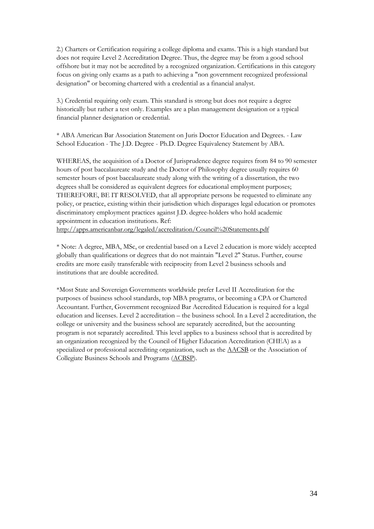2.) Charters or Certification requiring a college diploma and exams. This is a high standard but does not require Level 2 Accreditation Degree. Thus, the degree may be from a good school offshore but it may not be accredited by a recognized organization. Certifications in this category focus on giving only exams as a path to achieving a "non government recognized professional designation" or becoming chartered with a credential as a financial analyst.

3.) Credential requiring only exam. This standard is strong but does not require a degree historically but rather a test only. Examples are a plan management designation or a typical financial planner designation or credential.

\* ABA American Bar Association Statement on Juris Doctor Education and Degrees. - Law School Education - The J.D. Degree - Ph.D. Degree Equivalency Statement by ABA.

WHEREAS, the acquisition of a Doctor of Jurisprudence degree requires from 84 to 90 semester hours of post baccalaureate study and the Doctor of Philosophy degree usually requires 60 semester hours of post baccalaureate study along with the writing of a dissertation, the two degrees shall be considered as equivalent degrees for educational employment purposes; THEREFORE, BE IT RESOLVED, that all appropriate persons be requested to eliminate any policy, or practice, existing within their jurisdiction which disparages legal education or promotes discriminatory employment practices against J.D. degree-holders who hold academic appointment in education institutions. Ref: <http://apps.americanbar.org/legaled/accreditation/Council%20Statements.pdf>

\* Note: A degree, MBA, MSc, or credential based on a Level 2 education is more widely accepted globally than qualifications or degrees that do not maintain "Level 2" Status. Further, course credits are more easily transferable with reciprocity from Level 2 business schools and institutions that are double accredited.

\*Most State and Sovereign Governments worldwide prefer Level II Accreditation for the purposes of business school standards, top MBA programs, or becoming a CPA or Chartered Accountant. Further, Government recognized Bar Accredited Education is required for a legal education and licenses. Level 2 accreditation – the business school. In a Level 2 accreditation, the college or university and the business school are separately accredited, but the accounting program is not separately accredited. This level applies to a business school that is accredited by an organization recognized by the Council of Higher Education Accreditation (CHEA) as a specialized or professional accrediting organization, such as the [AACSB](http://www.aafm.us/aacsblist.html) or the Association of Collegiate Business Schools and Programs [\(ACBSP\)](http://www.aafm.us/acbsplist.html).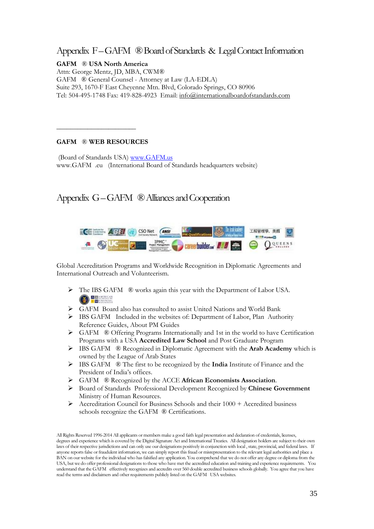### <span id="page-34-0"></span>Appendix F–GAFM ® Board of Standards & Legal Contact Information

**GAFM** ® **USA North America** Attn: George Mentz, JD, MBA, CWM® GAFM ® General Counsel - Attorney at Law (LA-EDLA) Suite 293, 1670-F East Cheyenne Mtn. Blvd, Colorado Springs, CO 80906 Tel: 504-495-1748 Fax: 419-828-4923 Email: [info@internationalboardofstandards.com](mailto:info@internationalboardofstandards.com)

### **GAFM** ® **WEB RESOURCES**

 $\overline{\phantom{a}}$  , where  $\overline{\phantom{a}}$ 

(Board of Standards USA) [www.GAFM.us](http://www.gafm.us/) www.GAFM .eu (International Board of Standards headquarters website)

### <span id="page-34-1"></span>Appendix G–GAFM ® Alliances and Cooperation



Global Accreditation Programs and Worldwide Recognition in Diplomatic Agreements and International Outreach and Volunteerism.

- $\triangleright$  The IBS GAFM  $\circledR$  works again this year with the Department of Labor USA. **CO REMEDIANCE**
- GAFM Board also has consulted to assist United Nations and World Bank
- IBS GAFM Included in the websites of: Department of Labor, Plan Authority Reference Guides, About PM Guides
- $\triangleright$  GAFM  $\otimes$  Offering Programs Internationally and 1st in the world to have Certification Programs with a USA **Accredited Law School** and Post Graduate Program
- IBS GAFM ® Recognized in Diplomatic Agreement with the **Arab Academy** which is owned by the League of Arab States
- IBS GAFM ® The first to be recognized by the **India** Institute of Finance and the President of India's offices.
- GAFM ® Recognized by the ACCE **African Economists Association**.
- Board of Standards Professional Development Recognized by **Chinese Government** Ministry of Human Resources.
- Accreditation Council for Business Schools and their 1000 + Accredited business schools recognize the GAFM ® Certifications.

All Rights Reserved 1996-2014 All applicants or members make a good faith legal presentation and declaration of credentials, licenses, degrees and experience which is covered by the Digital Signature Act and International Treaties. All designation holders are subject to their own laws of their respective jurisdictions and can only use our designations positively in conjunction with local , state, provincial, and federal laws. If anyone reports false or fraudulent information, we can simply report this fraud or misrepresentation to the relevant legal authorities and place a BAN on our website for the individual who has falsified any application. You comprehend that we do not offer any degree or diploma from the USA, but we do offer professional designations to those who have met the accredited education and training and experience requirements. You understand that the GAFM effectively recognizes and accredits over 560 double accredited business schools globally. You agree that you have read the terms and disclaimers and other requirements publicly listed on the GAFM USA websites.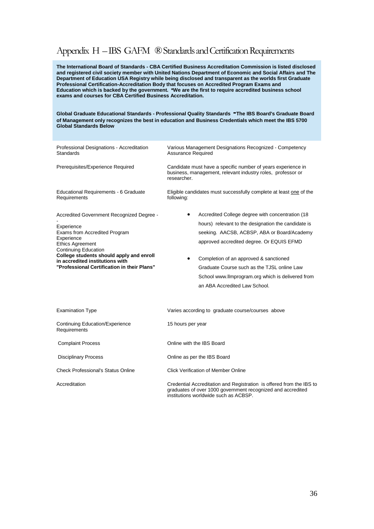### Appendix H –IBS GAFM ® Standards and Certification Requirements

**The International Board of Standards - CBA Certified Business Accreditation Commission is listed disclosed and registered civil society member with United Nations Department of Economic and Social Affairs and The Department of Education USA Registry while being disclosed and transparent as the worlds first Graduate Professional Certification-Accreditation Body that focuses on Accredited Program Exams and Education which is backed by the government. \*We are the first to require accredited business school exams and courses for CBA Certified Business Accreditation.**

**Global Graduate Educational Standards - Professional Quality Standards -The IBS Board's Graduate Board of Management only recognizes the best in education and Business Credentials which meet the IBS 5700 Global Standards Below**

| Professional Designations - Accreditation<br>Standards                                                                                                                                                                                                                                         | Various Management Designations Recognized - Competency<br><b>Assurance Required</b>                                                                                                                                                                                                                                                                                                            |
|------------------------------------------------------------------------------------------------------------------------------------------------------------------------------------------------------------------------------------------------------------------------------------------------|-------------------------------------------------------------------------------------------------------------------------------------------------------------------------------------------------------------------------------------------------------------------------------------------------------------------------------------------------------------------------------------------------|
| Prerequisites/Experience Required                                                                                                                                                                                                                                                              | Candidate must have a specific number of years experience in<br>business, management, relevant industry roles, professor or<br>researcher.                                                                                                                                                                                                                                                      |
| Educational Requirements - 6 Graduate<br>Requirements                                                                                                                                                                                                                                          | Eligible candidates must successfully complete at least one of the<br>following:                                                                                                                                                                                                                                                                                                                |
| Accredited Government Recognized Degree -<br>Experience<br>Exams from Accredited Program<br>Experience<br><b>Ethics Agreement</b><br><b>Continuing Education</b><br>College students should apply and enroll<br>in accredited institutions with<br>"Professional Certification in their Plans" | Accredited College degree with concentration (18<br>hours) relevant to the designation the candidate is<br>seeking. AACSB, ACBSP, ABA or Board/Academy<br>approved accredited degree. Or EQUIS EFMD<br>Completion of an approved & sanctioned<br>$\bullet$<br>Graduate Course such as the TJSL online Law<br>School www.llmprogram.org which is delivered from<br>an ABA Accredited Law School. |
| <b>Examination Type</b>                                                                                                                                                                                                                                                                        | Varies according to graduate course/courses above                                                                                                                                                                                                                                                                                                                                               |
| Continuing Education/Experience<br>Requirements                                                                                                                                                                                                                                                | 15 hours per year                                                                                                                                                                                                                                                                                                                                                                               |
| <b>Complaint Process</b>                                                                                                                                                                                                                                                                       | Online with the IBS Board                                                                                                                                                                                                                                                                                                                                                                       |
| <b>Disciplinary Process</b>                                                                                                                                                                                                                                                                    | Online as per the IBS Board                                                                                                                                                                                                                                                                                                                                                                     |
| <b>Check Professional's Status Online</b>                                                                                                                                                                                                                                                      | Click Verification of Member Online                                                                                                                                                                                                                                                                                                                                                             |
| Accreditation                                                                                                                                                                                                                                                                                  | Credential Accreditation and Registration is offered from the IBS to<br>graduates of over 1000 government recognized and accredited<br>institutions worldwide such as ACBSP.                                                                                                                                                                                                                    |